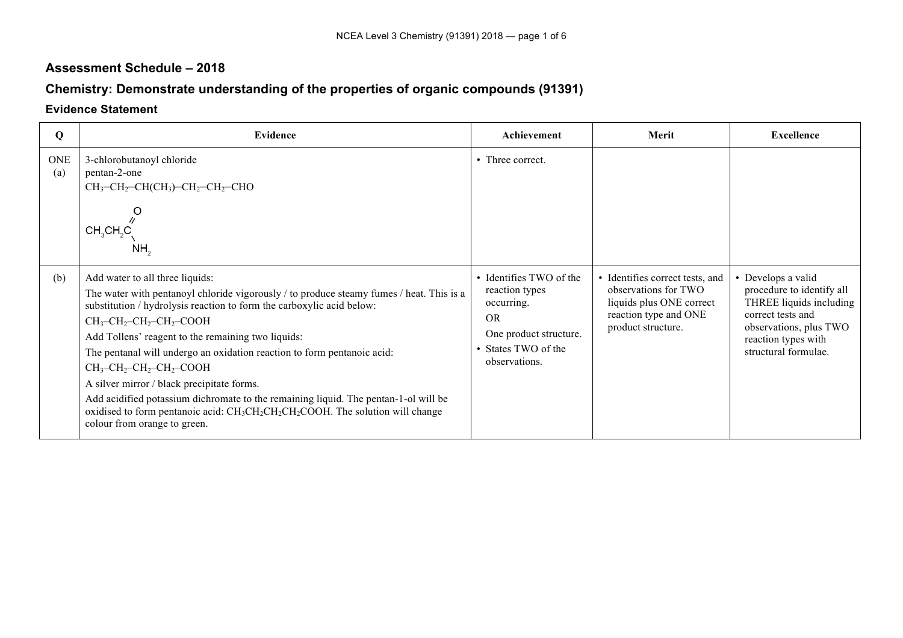## **Assessment Schedule – 2018**

## **Chemistry: Demonstrate understanding of the properties of organic compounds (91391)**

## **Evidence Statement**

| Q                 | <b>Evidence</b>                                                                                                                                                                                                                                                                                                                                                                                                                                                                                                                                                                                                                                                                                                                                                                     | Achievement                                                                                                                            | Merit                                                                                                                              | <b>Excellence</b>                                                                                                                                                      |
|-------------------|-------------------------------------------------------------------------------------------------------------------------------------------------------------------------------------------------------------------------------------------------------------------------------------------------------------------------------------------------------------------------------------------------------------------------------------------------------------------------------------------------------------------------------------------------------------------------------------------------------------------------------------------------------------------------------------------------------------------------------------------------------------------------------------|----------------------------------------------------------------------------------------------------------------------------------------|------------------------------------------------------------------------------------------------------------------------------------|------------------------------------------------------------------------------------------------------------------------------------------------------------------------|
| <b>ONE</b><br>(a) | 3-chlorobutanoyl chloride<br>pentan-2-one<br>$CH_3$ -CH <sub>2</sub> -CH(CH <sub>3</sub> )-CH <sub>2</sub> -CH <sub>2</sub> -CHO<br>O<br>CH <sub>3</sub> CH <sub>2</sub> C<br>NH,                                                                                                                                                                                                                                                                                                                                                                                                                                                                                                                                                                                                   | • Three correct.                                                                                                                       |                                                                                                                                    |                                                                                                                                                                        |
| (b)               | Add water to all three liquids:<br>The water with pentanoyl chloride vigorously / to produce steamy fumes / heat. This is a<br>substitution / hydrolysis reaction to form the carboxylic acid below:<br>$CH_3$ -CH <sub>2</sub> -CH <sub>2</sub> -CH <sub>2</sub> -COOH<br>Add Tollens' reagent to the remaining two liquids:<br>The pentanal will undergo an oxidation reaction to form pentanoic acid:<br>$CH_3$ -CH <sub>2</sub> -CH <sub>2</sub> -CH <sub>2</sub> -COOH<br>A silver mirror / black precipitate forms.<br>Add acidified potassium dichromate to the remaining liquid. The pentan-1-ol will be<br>oxidised to form pentanoic acid: CH <sub>3</sub> CH <sub>2</sub> CH <sub>2</sub> CH <sub>2</sub> COOH. The solution will change<br>colour from orange to green. | • Identifies TWO of the<br>reaction types<br>occurring.<br><b>OR</b><br>One product structure.<br>• States TWO of the<br>observations. | • Identifies correct tests, and<br>observations for TWO<br>liquids plus ONE correct<br>reaction type and ONE<br>product structure. | Develops a valid<br>procedure to identify all<br>THREE liquids including<br>correct tests and<br>observations, plus TWO<br>reaction types with<br>structural formulae. |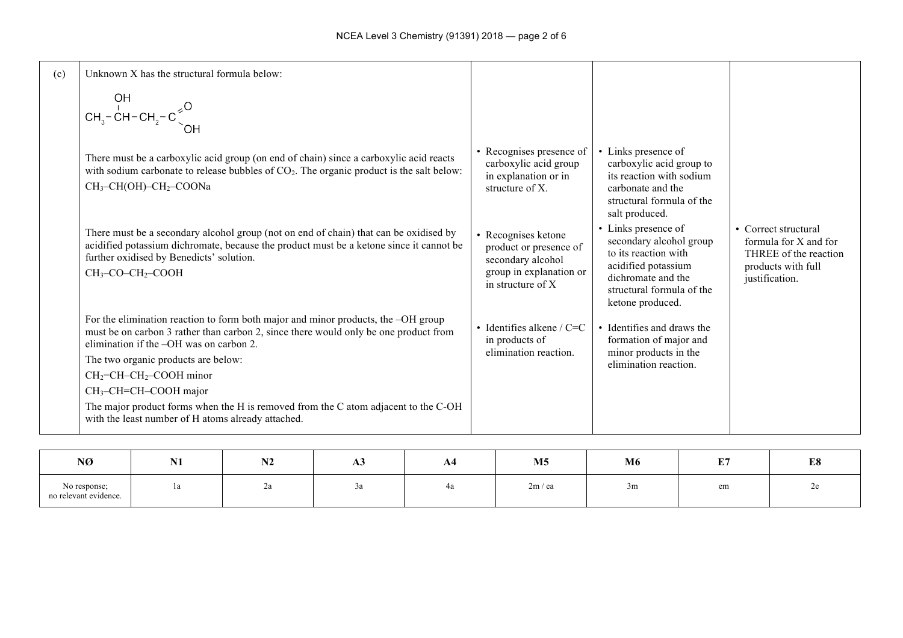| (c) | Unknown X has the structural formula below:<br>OH<br>$\begin{array}{c}\n\text{OH} \\ \text{CH}_3-\text{CH}-\text{CH}_2-\text{C}^{\geq 0} \\ \text{OH} \\ \text{OH} \\ \text{OH} \\ \text{OH} \\ \text{OH} \\ \text{OH} \\ \text{OH} \\ \text{OH} \\ \text{OH} \\ \text{OH} \\ \text{OH} \\ \text{OH} \\ \text{OH} \\ \text{OH} \\ \text{OH} \\ \text{OH} \\ \text{OH} \\ \text{OH} \\ \text{OH} \\ \text{OH} \\ \text{OH} \\ \text{OH} \\ \text{OH} \\ \text{OH} \\ \text{OH} \\ \text{OH} \\ \text{OH} \\ \text{OH} \\ \text{OH$ |                                                                                                                      |                                                                                                                                                                      |                                                                                                                |
|-----|-----------------------------------------------------------------------------------------------------------------------------------------------------------------------------------------------------------------------------------------------------------------------------------------------------------------------------------------------------------------------------------------------------------------------------------------------------------------------------------------------------------------------------------|----------------------------------------------------------------------------------------------------------------------|----------------------------------------------------------------------------------------------------------------------------------------------------------------------|----------------------------------------------------------------------------------------------------------------|
|     | There must be a carboxylic acid group (on end of chain) since a carboxylic acid reacts<br>with sodium carbonate to release bubbles of $CO2$ . The organic product is the salt below:<br>CH <sub>3</sub> -CH(OH)-CH <sub>2</sub> -COONa                                                                                                                                                                                                                                                                                            | • Recognises presence of<br>carboxylic acid group<br>in explanation or in<br>structure of X.                         | • Links presence of<br>carboxylic acid group to<br>its reaction with sodium<br>carbonate and the<br>structural formula of the<br>salt produced.                      |                                                                                                                |
|     | There must be a secondary alcohol group (not on end of chain) that can be oxidised by<br>acidified potassium dichromate, because the product must be a ketone since it cannot be<br>further oxidised by Benedicts' solution.<br>$CH3-CO-CH2-COOH$                                                                                                                                                                                                                                                                                 | • Recognises ketone<br>product or presence of<br>secondary alcohol<br>group in explanation or<br>in structure of $X$ | • Links presence of<br>secondary alcohol group<br>to its reaction with<br>acidified potassium<br>dichromate and the<br>structural formula of the<br>ketone produced. | • Correct structural<br>formula for X and for<br>THREE of the reaction<br>products with full<br>justification. |
|     | For the elimination reaction to form both major and minor products, the -OH group<br>must be on carbon 3 rather than carbon 2, since there would only be one product from<br>elimination if the -OH was on carbon 2.<br>The two organic products are below:<br>$CH_2=CH-CH_2$ -COOH minor<br>$CH3-CH=CH-COOH$ major<br>The major product forms when the H is removed from the C atom adjacent to the C-OH                                                                                                                         | • Identifies alkene / $C=C$<br>in products of<br>elimination reaction.                                               | • Identifies and draws the<br>formation of major and<br>minor products in the<br>elimination reaction.                                                               |                                                                                                                |
|     | with the least number of H atoms already attached.                                                                                                                                                                                                                                                                                                                                                                                                                                                                                |                                                                                                                      |                                                                                                                                                                      |                                                                                                                |

| NØ                                    | <b>NT1</b><br>N <sub>1</sub> | <b>BIA</b><br>19 Z | АJ<br>$\sim$ | A4 | M <sub>5</sub> | M6 | E7<br>L/ | E8 |
|---------------------------------------|------------------------------|--------------------|--------------|----|----------------|----|----------|----|
| No response;<br>no relevant evidence. | 1a                           | ∠a                 | Ju           | 4a | 2m / ea        | 3m | em       | ∼  |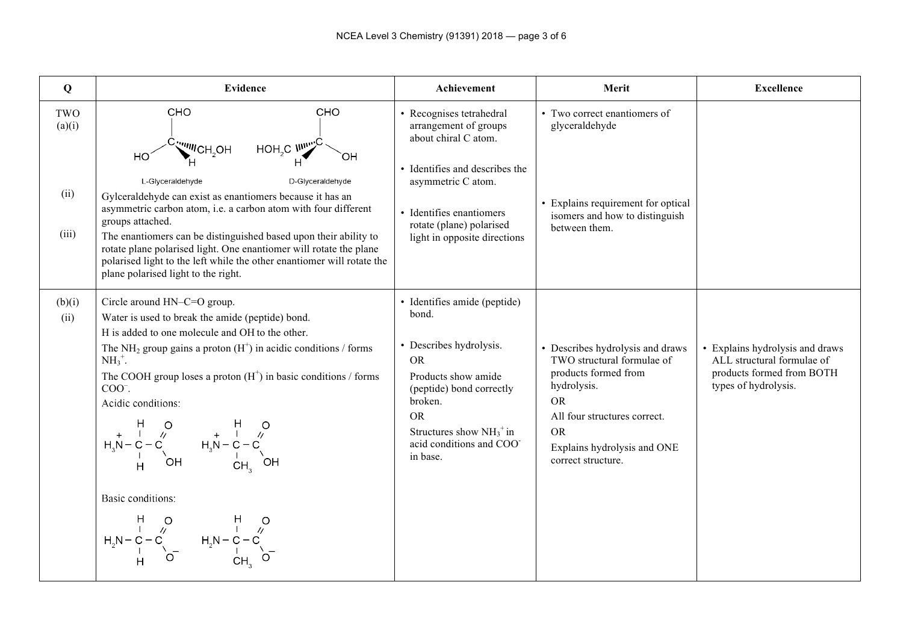| Q                              | Evidence                                                                                                                                                                                                                                                                                                                                                                                                                                                                                                                                                                                                                                                                                                                                                              | Achievement                                                                                                                                                                                                                    | Merit                                                                                                                                                                                                                | <b>Excellence</b>                                                                                                  |
|--------------------------------|-----------------------------------------------------------------------------------------------------------------------------------------------------------------------------------------------------------------------------------------------------------------------------------------------------------------------------------------------------------------------------------------------------------------------------------------------------------------------------------------------------------------------------------------------------------------------------------------------------------------------------------------------------------------------------------------------------------------------------------------------------------------------|--------------------------------------------------------------------------------------------------------------------------------------------------------------------------------------------------------------------------------|----------------------------------------------------------------------------------------------------------------------------------------------------------------------------------------------------------------------|--------------------------------------------------------------------------------------------------------------------|
| TWO<br>(a)(i)<br>(ii)<br>(iii) | CHO<br>CHO<br>HOH <sub>2</sub> C $\mathsf{M}_{\mathsf{H}}^{\mathsf{H}}$<br>$\overset{\text{C}}{\underset{\text{L}}{\bigcup}}$ $\overset{\text{C}}{\underset{\text{L}}{\bigcup}}$ $\overset{\text{C}}{\underset{\text{L}}{\bigcup}}$ $\overset{\text{C}}{\underset{\text{L}}{\bigcup}}$<br>HO <sup>-</sup><br>OH<br>D-Glyceraldehyde<br>L-Glyceraldehyde<br>Gylceraldehyde can exist as enantiomers because it has an<br>asymmetric carbon atom, i.e. a carbon atom with four different<br>groups attached.<br>The enantiomers can be distinguished based upon their ability to<br>rotate plane polarised light. One enantiomer will rotate the plane<br>polarised light to the left while the other enantiomer will rotate the<br>plane polarised light to the right. | • Recognises tetrahedral<br>arrangement of groups<br>about chiral C atom.<br>• Identifies and describes the<br>asymmetric C atom.<br>• Identifies enantiomers<br>rotate (plane) polarised<br>light in opposite directions      | • Two correct enantiomers of<br>glyceraldehyde<br>• Explains requirement for optical<br>isomers and how to distinguish<br>between them.                                                                              |                                                                                                                    |
| (b)(i)<br>(ii)                 | Circle around HN-C=O group.<br>Water is used to break the amide (peptide) bond.<br>H is added to one molecule and OH to the other.<br>The NH <sub>2</sub> group gains a proton $(H+)$ in acidic conditions / forms<br>$NH_3^+$ .<br>The COOH group loses a proton $(H+)$ in basic conditions / forms<br>$COO^{-}$ .<br>Acidic conditions:<br>$H_3N-C-C$<br>$H_3N-C-C$<br>$H_3N-C-C$<br>$H_3N-C-C$<br>$H_3N-C-C$<br>$H_3N-C-C$<br>$H_3N-C-C$<br>$H_3N-C-C$<br>$H_3N-C-C$<br>Basic conditions:<br>$\begin{array}{cccc} & H & O & H & \cup \\ & I & \wedge & & I & \wedge \\ H_2N-C-C & & & H_2N-C-C \\ & I & \wedge & & & I \\ & H & O & & & CH_3 \end{array}$                                                                                                          | · Identifies amide (peptide)<br>bond.<br>• Describes hydrolysis.<br><b>OR</b><br>Products show amide<br>(peptide) bond correctly<br>broken.<br><b>OR</b><br>Structures show $NH_3^+$ in<br>acid conditions and COO<br>in base. | • Describes hydrolysis and draws<br>TWO structural formulae of<br>products formed from<br>hydrolysis.<br><b>OR</b><br>All four structures correct.<br><b>OR</b><br>Explains hydrolysis and ONE<br>correct structure. | • Explains hydrolysis and draws<br>ALL structural formulae of<br>products formed from BOTH<br>types of hydrolysis. |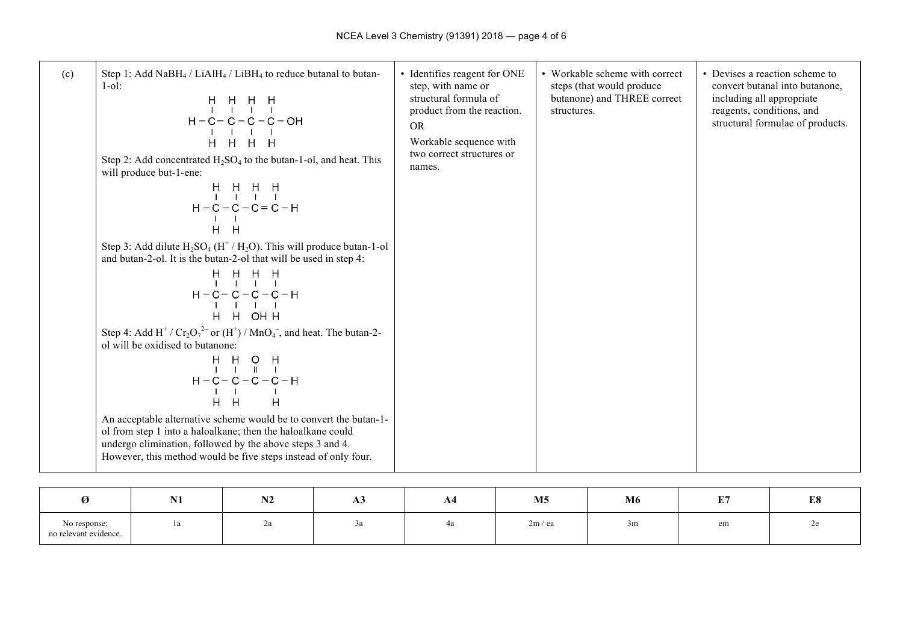| (c) | Step 1: Add NaBH <sub>4</sub> / LiAlH <sub>4</sub> / LiBH <sub>4</sub> to reduce butanal to butan-<br>$1-0!$ :<br>$H - C - C - C - C - OH$<br>H H H H<br>Step 2: Add concentrated $H_2SO_4$ to the butan-1-ol, and heat. This<br>will produce but-1-ene:<br>H H H H<br>       <br>$H - C - C - C = C - H$<br>$H$ $H$ | • Identifies reagent for ONE<br>step, with name or<br>structural formula of<br>product from the reaction.<br><b>OR</b><br>Workable sequence with<br>two correct structures or<br>names. | • Workable scheme with correct<br>steps (that would produce<br>butanone) and THREE correct<br>structures. | • Devises a reaction scheme to<br>convert butanal into butanone,<br>including all appropriate<br>reagents, conditions, and<br>structural formulae of products. |
|-----|----------------------------------------------------------------------------------------------------------------------------------------------------------------------------------------------------------------------------------------------------------------------------------------------------------------------|-----------------------------------------------------------------------------------------------------------------------------------------------------------------------------------------|-----------------------------------------------------------------------------------------------------------|----------------------------------------------------------------------------------------------------------------------------------------------------------------|
|     | Step 3: Add dilute $H_2SO_4 (H^+/H_2O)$ . This will produce butan-1-ol<br>and butan-2-ol. It is the butan-2-ol that will be used in step 4:<br>$\begin{array}{cccccccccc} & H & H & H & H \\ & I & I & I & I \\ \end{array}$<br>$H - C - C - C - C - H$<br>H H OHH                                                   |                                                                                                                                                                                         |                                                                                                           |                                                                                                                                                                |
|     | Step 4: Add H <sup>+</sup> / $Cr_2O_7^{2-}$ or $(H^+)$ / MnO <sub>4</sub> <sup>-</sup> , and heat. The butan-2-<br>ol will be oxidised to butanone:                                                                                                                                                                  |                                                                                                                                                                                         |                                                                                                           |                                                                                                                                                                |
|     | An acceptable alternative scheme would be to convert the butan-1-<br>ol from step 1 into a haloalkane; then the haloalkane could<br>undergo elimination, followed by the above steps 3 and 4.<br>However, this method would be five steps instead of only four.                                                      |                                                                                                                                                                                         |                                                                                                           |                                                                                                                                                                |

|                                       | <b>BT4</b><br>$\blacksquare$ | <b>BIA</b><br>. | ДJ | A4 | M <sub>5</sub> | M6 | $E_{\rm B}$ | E8 |
|---------------------------------------|------------------------------|-----------------|----|----|----------------|----|-------------|----|
| No response;<br>no relevant evidence. |                              | ∠a              |    | 4a | 2m / ea        | 3m | em          | ∼  |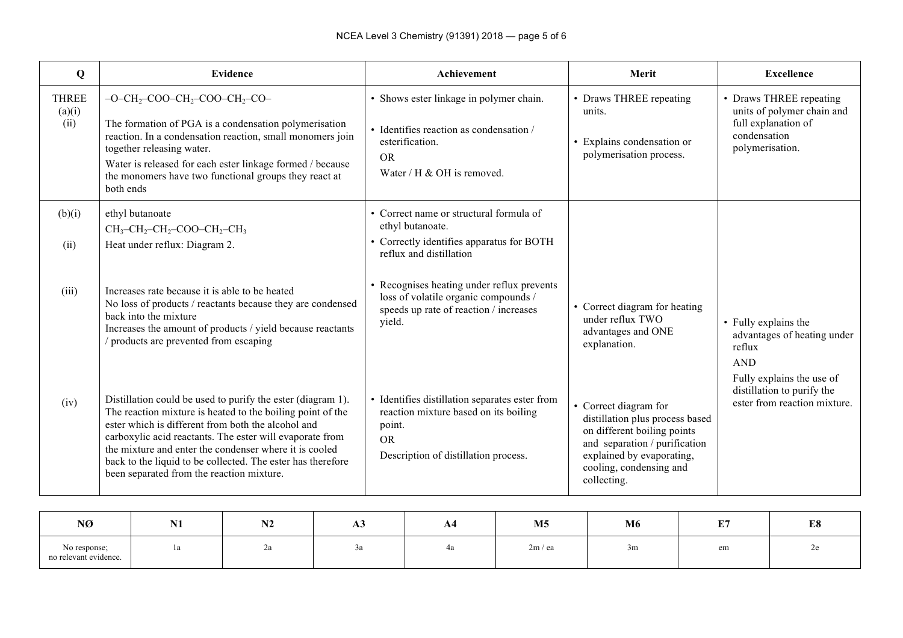| Q                              | <b>Evidence</b>                                                                                                                                                                                                                                                                                                                                                                                                   | Achievement                                                                                                                                            | Merit                                                                                                                                                                                           | <b>Excellence</b>                                                                                               |
|--------------------------------|-------------------------------------------------------------------------------------------------------------------------------------------------------------------------------------------------------------------------------------------------------------------------------------------------------------------------------------------------------------------------------------------------------------------|--------------------------------------------------------------------------------------------------------------------------------------------------------|-------------------------------------------------------------------------------------------------------------------------------------------------------------------------------------------------|-----------------------------------------------------------------------------------------------------------------|
| <b>THREE</b><br>(a)(i)<br>(ii) | $-O-CH_2$ -COO-CH <sub>2</sub> -COO-CH <sub>2</sub> -CO-<br>The formation of PGA is a condensation polymerisation<br>reaction. In a condensation reaction, small monomers join<br>together releasing water.<br>Water is released for each ester linkage formed / because<br>the monomers have two functional groups they react at<br>both ends                                                                    | • Shows ester linkage in polymer chain.<br>• Identifies reaction as condensation /<br>esterification.<br><b>OR</b><br>Water / H & OH is removed.       | • Draws THREE repeating<br>units.<br>• Explains condensation or<br>polymerisation process.                                                                                                      | • Draws THREE repeating<br>units of polymer chain and<br>full explanation of<br>condensation<br>polymerisation. |
| (b)(i)<br>(ii)                 | ethyl butanoate<br>$CH_3$ -CH <sub>2</sub> -CH <sub>2</sub> -COO-CH <sub>2</sub> -CH <sub>3</sub><br>Heat under reflux: Diagram 2.                                                                                                                                                                                                                                                                                | • Correct name or structural formula of<br>ethyl butanoate.<br>• Correctly identifies apparatus for BOTH<br>reflux and distillation                    |                                                                                                                                                                                                 |                                                                                                                 |
| (iii)                          | Increases rate because it is able to be heated<br>No loss of products / reactants because they are condensed<br>back into the mixture<br>Increases the amount of products / yield because reactants<br>products are prevented from escaping                                                                                                                                                                       | • Recognises heating under reflux prevents<br>loss of volatile organic compounds /<br>speeds up rate of reaction / increases<br>yield.                 | • Correct diagram for heating<br>under reflux TWO<br>advantages and ONE<br>explanation.                                                                                                         | • Fully explains the<br>advantages of heating under<br>reflux<br><b>AND</b>                                     |
| (iv)                           | Distillation could be used to purify the ester (diagram 1).<br>The reaction mixture is heated to the boiling point of the<br>ester which is different from both the alcohol and<br>carboxylic acid reactants. The ester will evaporate from<br>the mixture and enter the condenser where it is cooled<br>back to the liquid to be collected. The ester has therefore<br>been separated from the reaction mixture. | • Identifies distillation separates ester from<br>reaction mixture based on its boiling<br>point.<br><b>OR</b><br>Description of distillation process. | • Correct diagram for<br>distillation plus process based<br>on different boiling points<br>and separation / purification<br>explained by evaporating,<br>cooling, condensing and<br>collecting. | Fully explains the use of<br>distillation to purify the<br>ester from reaction mixture.                         |

| NØ                                    | T<br>14 T | <b>BIA</b><br>IN 4 | $\mathbf{u}$ | A4 | M <sub>5</sub> | M6 | юe,       | E8 |
|---------------------------------------|-----------|--------------------|--------------|----|----------------|----|-----------|----|
| No response;<br>no relevant evidence. | ra        | ∠a                 |              | 4а | 2m / ea        | 3m | $\rm{em}$ | ~  |